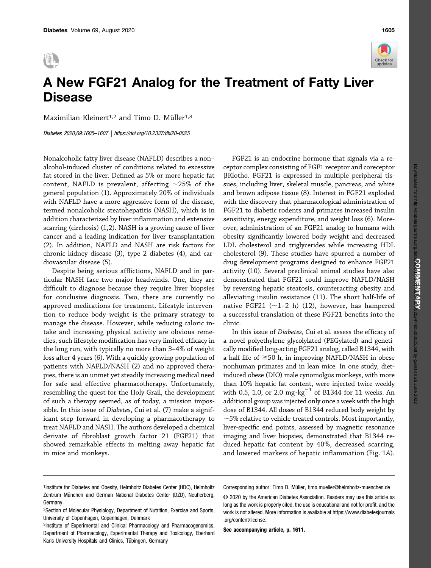



Maximilian Kleinert<sup>1,2</sup> and Timo D. Müller<sup>1,3</sup>

Diabetes 2020;69:1605–1607 |<https://doi.org/10.2337/dbi20-0025>

Nonalcoholic fatty liver disease (NAFLD) describes a non– alcohol-induced cluster of conditions related to excessive fat stored in the liver. Defined as 5% or more hepatic fat content, NAFLD is prevalent, affecting  $\sim$ 25% of the general population (1). Approximately 20% of individuals with NAFLD have a more aggressive form of the disease, termed nonalcoholic steatohepatitis (NASH), which is in addition characterized by liver inflammation and extensive scarring (cirrhosis) (1,2). NASH is a growing cause of liver cancer and a leading indication for liver transplantation (2). In addition, NAFLD and NASH are risk factors for chronic kidney disease (3), type 2 diabetes (4), and cardiovascular disease (5).

Despite being serious afflictions, NAFLD and in particular NASH face two major headwinds. One, they are difficult to diagnose because they require liver biopsies for conclusive diagnosis. Two, there are currently no approved medications for treatment. Lifestyle intervention to reduce body weight is the primary strategy to manage the disease. However, while reducing caloric intake and increasing physical activity are obvious remedies, such lifestyle modification has very limited efficacy in the long run, with typically no more than 3–4% of weight loss after 4 years (6). With a quickly growing population of patients with NAFLD/NASH (2) and no approved therapies, there is an unmet yet steadily increasing medical need for safe and effective pharmacotherapy. Unfortunately, resembling the quest for the Holy Grail, the development of such a therapy seemed, as of today, a mission impossible. In this issue of Diabetes, Cui et al. (7) make a significant step forward in developing a pharmacotherapy to treat NAFLD and NASH. The authors developed a chemical derivate of fibroblast growth factor 21 (FGF21) that showed remarkable effects in melting away hepatic fat in mice and monkeys.

FGF21 is an endocrine hormone that signals via a receptor complex consisting of FGF1 receptor and coreceptor bKlotho. FGF21 is expressed in multiple peripheral tissues, including liver, skeletal muscle, pancreas, and white and brown adipose tissue (8). Interest in FGF21 exploded with the discovery that pharmacological administration of FGF21 to diabetic rodents and primates increased insulin sensitivity, energy expenditure, and weight loss (6). Moreover, administration of an FGF21 analog to humans with obesity significantly lowered body weight and decreased LDL cholesterol and triglycerides while increasing HDL cholesterol (9). These studies have spurred a number of drug development programs designed to enhance FGF21 activity (10). Several preclinical animal studies have also demonstrated that FGF21 could improve NAFLD/NASH by reversing hepatic steatosis, counteracting obesity and alleviating insulin resistance (11). The short half-life of native FGF21  $(\sim1-2$  h) (12), however, has hampered a successful translation of these FGF21 benefits into the clinic.

In this issue of Diabetes, Cui et al. assess the efficacy of a novel polyethylene glycolylated (PEGylated) and genetically modified long-acting FGF21 analog, called B1344, with a half-life of  $\geq$ 50 h, in improving NAFLD/NASH in obese nonhuman primates and in lean mice. In one study, dietinduced obese (DIO) male cynomolgus monkeys, with more than 10% hepatic fat content, were injected twice weekly with 0.5, 1.0, or 2.0 mg $\cdot$ kg<sup>-1</sup> of B1344 for 11 weeks. An additional group was injected only once a week with the high dose of B1344. All doses of B1344 reduced body weight by  $\sim$ 5% relative to vehicle-treated controls. Most importantly, liver-specific end points, assessed by magnetic resonance imaging and liver biopsies, demonstrated that B1344 reduced hepatic fat content by 40%, decreased scarring, and lowered markers of hepatic inflammation (Fig. 1A).

- <sup>1</sup>Institute for Diabetes and Obesity, Helmholtz Diabetes Center (HDC), Helmholtz Zentrum München and German National Diabetes Center (DZD), Neuherberg, Germany
- 2Section of Molecular Physiology, Department of Nutrition, Exercise and Sports, University of Copenhagen, Copenhagen, Denmark
- 3Institute of Experimental and Clinical Pharmacology and Pharmacogenomics, Department of Pharmacology, Experimental Therapy and Toxicology, Eberhard Karls University Hospitals and Clinics, Tübingen, Germany

Corresponding author: Timo D. Müller, [timo.mueller@helmholtz-muenchen.de](mailto:timo.mueller@helmholtz-muenchen.de)

© 2020 by the American Diabetes Association. Readers may use this article as long as the work is properly cited, the use is educational and not for profit, and the work is not altered. More information is available at [https://www.diabetesjournals](https://www.diabetesjournals.org/content/license) [.org/content/license](https://www.diabetesjournals.org/content/license).

See accompanying article, p. 1611.

Check for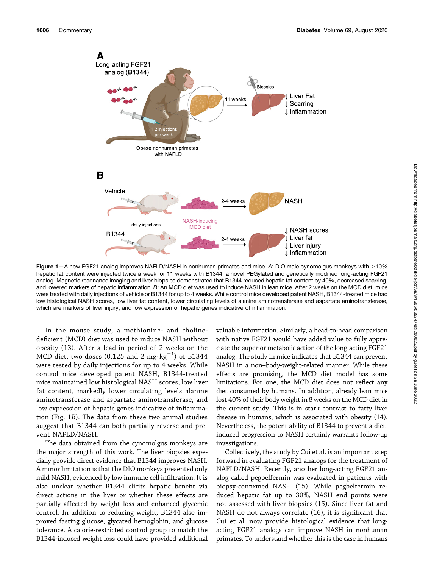

Figure 1-A new FGF21 analog improves NAFLD/NASH in nonhuman primates and mice. A: DIO male cynomolgus monkeys with >10% hepatic fat content were injected twice a week for 11 weeks with B1344, a novel PEGylated and genetically modified long-acting FGF21 analog. Magnetic resonance imaging and liver biopsies demonstrated that B1344 reduced hepatic fat content by 40%, decreased scarring, and lowered markers of hepatic inflammation. B: An MCD diet was used to induce NASH in lean mice. After 2 weeks on the MCD diet, mice were treated with daily injections of vehicle or B1344 for up to 4 weeks. While control mice developed patent NASH, B1344-treated mice had low histological NASH scores, low liver fat content, lower circulating levels of alanine aminotransferase and aspartate aminotransferase, which are markers of liver injury, and low expression of hepatic genes indicative of inflammation.

In the mouse study, a methionine- and cholinedeficient (MCD) diet was used to induce NASH without obesity (13). After a lead-in period of 2 weeks on the MCD diet, two doses (0.125 and 2 mg $\cdot$ kg $^{-1}$ ) of B1344 were tested by daily injections for up to 4 weeks. While control mice developed patent NASH, B1344-treated mice maintained low histological NASH scores, low liver fat content, markedly lower circulating levels alanine aminotransferase and aspartate aminotransferase, and low expression of hepatic genes indicative of inflammation (Fig. 1B). The data from these two animal studies suggest that B1344 can both partially reverse and prevent NAFLD/NASH.

The data obtained from the cynomolgus monkeys are the major strength of this work. The liver biopsies especially provide direct evidence that B1344 improves NASH. A minor limitation is that the DIO monkeys presented only mild NASH, evidenced by low immune cell infiltration. It is also unclear whether B1344 elicits hepatic benefit via direct actions in the liver or whether these effects are partially affected by weight loss and enhanced glycemic control. In addition to reducing weight, B1344 also improved fasting glucose, glycated hemoglobin, and glucose tolerance. A calorie-restricted control group to match the B1344-induced weight loss could have provided additional valuable information. Similarly, a head-to-head comparison with native FGF21 would have added value to fully appreciate the superior metabolic action of the long-acting FGF21 analog. The study in mice indicates that B1344 can prevent NASH in a non–body-weight-related manner. While these effects are promising, the MCD diet model has some limitations. For one, the MCD diet does not reflect any diet consumed by humans. In addition, already lean mice lost 40% of their body weight in 8 weeks on the MCD diet in the current study. This is in stark contrast to fatty liver disease in humans, which is associated with obesity (14). Nevertheless, the potent ability of B1344 to prevent a dietinduced progression to NASH certainly warrants follow-up investigations.

Collectively, the study by Cui et al. is an important step forward in evaluating FGF21 analogs for the treatment of NAFLD/NASH. Recently, another long-acting FGF21 analog called pegbelfermin was evaluated in patients with biopsy-confirmed NASH (15). While pegbelfermin reduced hepatic fat up to 30%, NASH end points were not assessed with liver biopsies (15). Since liver fat and NASH do not always correlate (16), it is significant that Cui et al. now provide histological evidence that longacting FGF21 analogs can improve NASH in nonhuman primates. To understand whether this is the case in humans